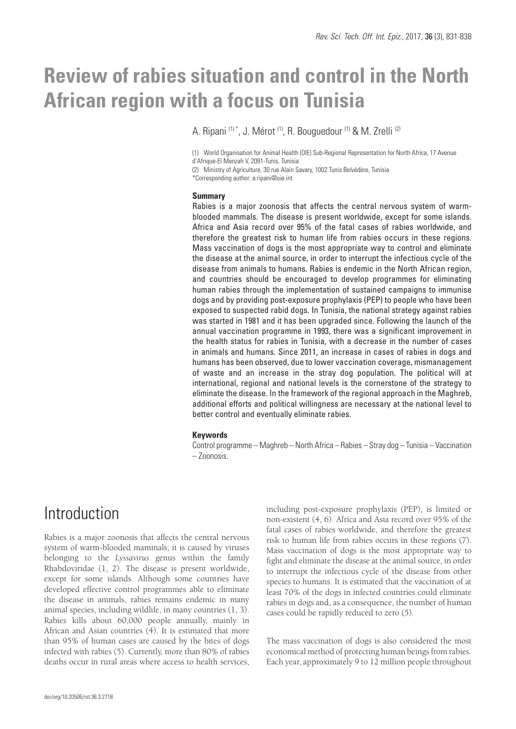# **Review of rabies situation and control in the North African region with a focus on Tunisia**

A. Ripani (1) \*, J. Mérot (1), R. Bouguedour (1) & M. Zrelli (2)

(1) World Organisation for Animal Health (OIE) Sub-Regional Representation for North Africa, 17 Avenue d'Afrique-El Menzah V, 2091-Tunis, Tunisia

(2) Ministry of Agriculture, 30 rue Alain Savary, 1002 Tunis Belvédère, Tunisia

\*Corresponding author: a.ripani@oie.int

#### **Summary**

Rabies is a major zoonosis that affects the central nervous system of warmblooded mammals. The disease is present worldwide, except for some islands. Africa and Asia record over 95% of the fatal cases of rabies worldwide, and therefore the greatest risk to human life from rabies occurs in these regions. Mass vaccination of dogs is the most appropriate way to control and eliminate the disease at the animal source, in order to interrupt the infectious cycle of the disease from animals to humans. Rabies is endemic in the North African region, and countries should be encouraged to develop programmes for eliminating human rabies through the implementation of sustained campaigns to immunise dogs and by providing post-exposure prophylaxis (PEP) to people who have been exposed to suspected rabid dogs. In Tunisia, the national strategy against rabies was started in 1981 and it has been upgraded since. Following the launch of the annual vaccination programme in 1993, there was a significant improvement in the health status for rabies in Tunisia, with a decrease in the number of cases in animals and humans. Since 2011, an increase in cases of rabies in dogs and humans has been observed, due to lower vaccination coverage, mismanagement of waste and an increase in the stray dog population. The political will at international, regional and national levels is the cornerstone of the strategy to eliminate the disease. In the framework of the regional approach in the Maghreb, additional efforts and political willingness are necessary at the national level to better control and eventually eliminate rabies.

#### **Keywords**

Control programme – Maghreb – North Africa – Rabies – Stray dog – Tunisia – Vaccination – Zoonosis.

### Introduction

Rabies is a major zoonosis that affects the central nervous system of warm-blooded mammals; it is caused by viruses belonging to the *Lyssavirus* genus within the family Rhabdoviridae (1, 2). The disease is present worldwide, except for some islands. Although some countries have developed effective control programmes able to eliminate the disease in animals, rabies remains endemic in many animal species, including wildlife, in many countries (1, 3). Rabies kills about 60,000 people annually, mainly in African and Asian countries (4). It is estimated that more than 95% of human cases are caused by the bites of dogs infected with rabies (5). Currently, more than 80% of rabies deaths occur in rural areas where access to health services,

including post-exposure prophylaxis (PEP), is limited or non-existent (4, 6). Africa and Asia record over 95% of the fatal cases of rabies worldwide, and therefore the greatest risk to human life from rabies occurs in these regions (7). Mass vaccination of dogs is the most appropriate way to fight and eliminate the disease at the animal source, in order to interrupt the infectious cycle of the disease from other species to humans. It is estimated that the vaccination of at least 70% of the dogs in infected countries could eliminate rabies in dogs and, as a consequence, the number of human cases could be rapidly reduced to zero (5).

The mass vaccination of dogs is also considered the most economical method of protecting human beings from rabies. Each year, approximately 9 to 12 million people throughout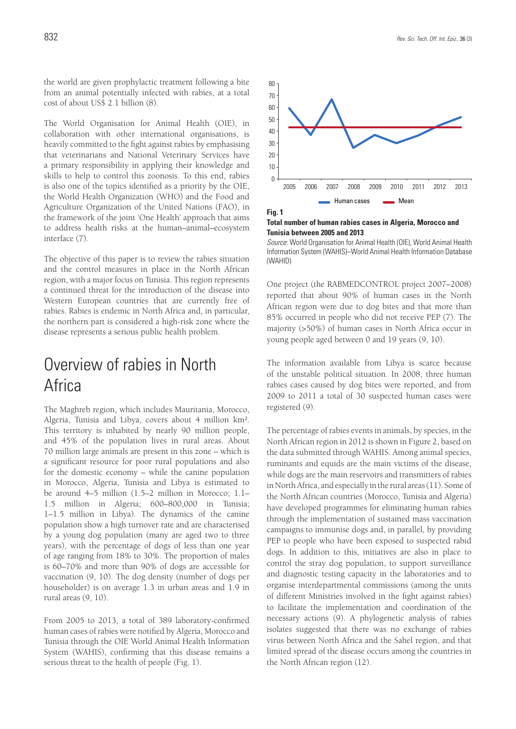the world are given prophylactic treatment following a bite from an animal potentially infected with rabies, at a total cost of about US\$ 2.1 billion (8).

The World Organisation for Animal Health (OIE), in collaboration with other international organisations, is heavily committed to the fight against rabies by emphasising that veterinarians and National Veterinary Services have a primary responsibility in applying their knowledge and skills to help to control this zoonosis. To this end, rabies is also one of the topics identified as a priority by the OIE, the World Health Organization (WHO) and the Food and Agriculture Organization of the United Nations (FAO), in the framework of the joint 'One Health' approach that aims to address health risks at the human–animal–ecosystem interface (7).

The objective of this paper is to review the rabies situation and the control measures in place in the North African region, with a major focus on Tunisia. This region represents a continued threat for the introduction of the disease into Western European countries that are currently free of rabies. Rabies is endemic in North Africa and, in particular, the northern part is considered a high-risk zone where the disease represents a serious public health problem.

## Overview of rabies in North Africa

The Maghreb region, which includes Mauritania, Morocco, Algeria, Tunisia and Libya, covers about 4 million km². This territory is inhabited by nearly 90 million people, and 45% of the population lives in rural areas. About 70 million large animals are present in this zone – which is a significant resource for poor rural populations and also for the domestic economy – while the canine population in Morocco, Algeria, Tunisia and Libya is estimated to be around 4–5 million (1.5–2 million in Morocco; 1.1– 1.5 million in Algeria; 600–800,000 in Tunisia; 1–1.5 million in Libya). The dynamics of the canine population show a high turnover rate and are characterised by a young dog population (many are aged two to three years), with the percentage of dogs of less than one year of age ranging from 18% to 30%. The proportion of males is 60–70% and more than 90% of dogs are accessible for vaccination (9, 10). The dog density (number of dogs per householder) is on average 1.3 in urban areas and 1.9 in rural areas (9, 10).

From 2005 to 2013, a total of 389 laboratory-confirmed human cases of rabies were notified by Algeria, Morocco and Tunisia through the OIE World Animal Health Information System (WAHIS), confirming that this disease remains a serious threat to the health of people (Fig. 1).



**Fig. 1 Total number of human rabies cases in Algeria, Morocco and Tunisia between 2005 and 2013** 

*Source*: World Organisation for Animal Health (OIE), World Animal Health Information System (WAHIS)–World Animal Health Information Database (WAHID)

One project (the RABMEDCONTROL project 2007–2008) reported that about 90% of human cases in the North African region were due to dog bites and that more than 85% occurred in people who did not receive PEP (7). The majority (>50%) of human cases in North Africa occur in young people aged between 0 and 19 years (9, 10).

The information available from Libya is scarce because of the unstable political situation. In 2008, three human rabies cases caused by dog bites were reported, and from 2009 to 2011 a total of 30 suspected human cases were registered (9).

The percentage of rabies events in animals, by species, in the North African region in 2012 is shown in Figure 2, based on the data submitted through WAHIS. Among animal species, ruminants and equids are the main victims of the disease, while dogs are the main reservoirs and transmitters of rabies in North Africa, and especially in the rural areas (11). Some of the North African countries (Morocco, Tunisia and Algeria) have developed programmes for eliminating human rabies through the implementation of sustained mass vaccination campaigns to immunise dogs and, in parallel, by providing PEP to people who have been exposed to suspected rabid dogs. In addition to this, initiatives are also in place to control the stray dog population, to support surveillance and diagnostic testing capacity in the laboratories and to organise interdepartmental commissions (among the units of different Ministries involved in the fight against rabies) to facilitate the implementation and coordination of the necessary actions (9). A phylogenetic analysis of rabies isolates suggested that there was no exchange of rabies virus between North Africa and the Sahel region, and that limited spread of the disease occurs among the countries in the North African region (12).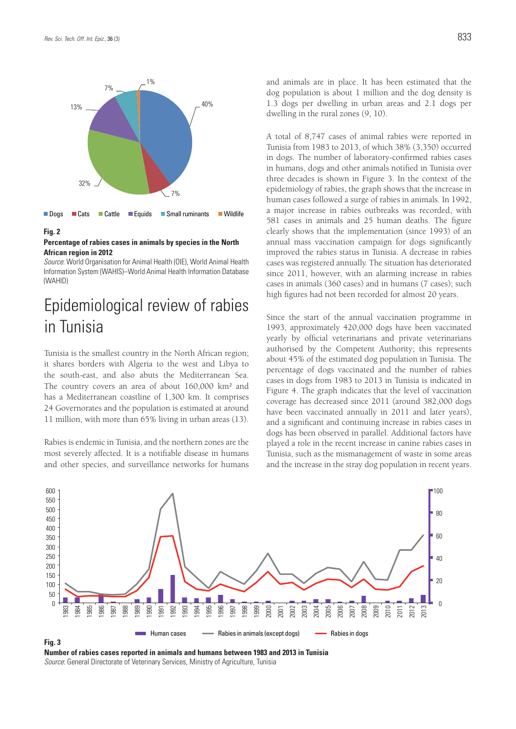

#### **Fig. 2**

#### **Percentage of rabies cases in animals by species in the North African region in 2012**

*Source*: World Organisation for Animal Health (OIE), World Animal Health Information System (WAHIS)–World Animal Health Information Database (WAHID)

## Epidemiological review of rabies in Tunisia

Tunisia is the smallest country in the North African region; it shares borders with Algeria to the west and Libya to the south-east, and also abuts the Mediterranean Sea. The country covers an area of about 160,000 km² and has a Mediterranean coastline of 1,300 km. It comprises 24 Governorates and the population is estimated at around 11 million, with more than 65% living in urban areas (13).

Rabies is endemic in Tunisia, and the northern zones are the most severely affected. It is a notifiable disease in humans and other species, and surveillance networks for humans and animals are in place. It has been estimated that the dog population is about 1 million and the dog density is 1.3 dogs per dwelling in urban areas and 2.1 dogs per dwelling in the rural zones (9, 10).

A total of 8,747 cases of animal rabies were reported in Tunisia from 1983 to 2013, of which 38% (3,350) occurred in dogs. The number of laboratory-confirmed rabies cases in humans, dogs and other animals notified in Tunisia over three decades is shown in Figure 3. In the context of the epidemiology of rabies, the graph shows that the increase in human cases followed a surge of rabies in animals. In 1992, a major increase in rabies outbreaks was recorded, with 581 cases in animals and 25 human deaths. The figure clearly shows that the implementation (since 1993) of an annual mass vaccination campaign for dogs significantly improved the rabies status in Tunisia. A decrease in rabies cases was registered annually. The situation has deteriorated since 2011, however, with an alarming increase in rabies cases in animals (360 cases) and in humans (7 cases); such high figures had not been recorded for almost 20 years.

Since the start of the annual vaccination programme in 1993, approximately 420,000 dogs have been vaccinated yearly by official veterinarians and private veterinarians authorised by the Competent Authority; this represents about 45% of the estimated dog population in Tunisia. The percentage of dogs vaccinated and the number of rabies cases in dogs from 1983 to 2013 in Tunisia is indicated in Figure 4. The graph indicates that the level of vaccination coverage has decreased since 2011 (around 382,000 dogs have been vaccinated annually in 2011 and later years), and a significant and continuing increase in rabies cases in dogs has been observed in parallel. Additional factors have played a role in the recent increase in canine rabies cases in Tunisia, such as the mismanagement of waste in some areas and the increase in the stray dog population in recent years.



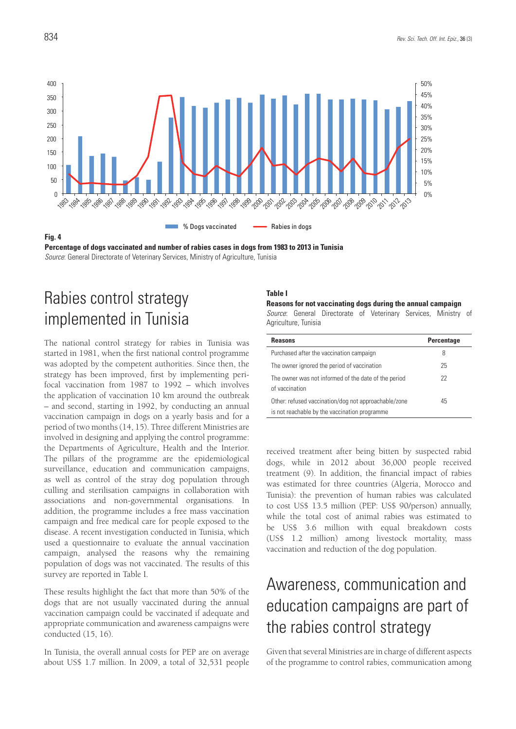

**Percentage of dogs vaccinated and number of rabies cases in dogs from 1983 to 2013 in Tunisia** *Source*: General Directorate of Veterinary Services, Ministry of Agriculture, Tunisia

## Rabies control strategy implemented in Tunisia

The national control strategy for rabies in Tunisia was started in 1981, when the first national control programme was adopted by the competent authorities. Since then, the strategy has been improved, first by implementing perifocal vaccination from 1987 to 1992 – which involves the application of vaccination 10 km around the outbreak – and second, starting in 1992, by conducting an annual vaccination campaign in dogs on a yearly basis and for a period of two months (14, 15). Three different Ministries are involved in designing and applying the control programme: the Departments of Agriculture, Health and the Interior. The pillars of the programme are the epidemiological surveillance, education and communication campaigns, as well as control of the stray dog population through culling and sterilisation campaigns in collaboration with associations and non-governmental organisations. In addition, the programme includes a free mass vaccination campaign and free medical care for people exposed to the disease. A recent investigation conducted in Tunisia, which used a questionnaire to evaluate the annual vaccination campaign, analysed the reasons why the remaining population of dogs was not vaccinated. The results of this survey are reported in Table I.

These results highlight the fact that more than 50% of the dogs that are not usually vaccinated during the annual vaccination campaign could be vaccinated if adequate and appropriate communication and awareness campaigns were conducted (15, 16).

In Tunisia, the overall annual costs for PEP are on average about US\$ 1.7 million. In 2009, a total of 32,531 people

#### **Table I**

**Reasons for not vaccinating dogs during the annual campaign** *Source*: General Directorate of Veterinary Services, Ministry of Agriculture, Tunisia

| <b>Reasons</b>                                                                                        | <b>Percentage</b> |
|-------------------------------------------------------------------------------------------------------|-------------------|
| Purchased after the vaccination campaign                                                              | 8                 |
| The owner ignored the period of vaccination                                                           | 25                |
| The owner was not informed of the date of the period<br>of vaccination                                | 22                |
| Other: refused vaccination/dog not approachable/zone<br>is not reachable by the vaccination programme | 45                |

received treatment after being bitten by suspected rabid dogs, while in 2012 about 36,000 people received treatment (9). In addition, the financial impact of rabies was estimated for three countries (Algeria, Morocco and Tunisia): the prevention of human rabies was calculated to cost US\$ 13.5 million (PEP: US\$ 90/person) annually, while the total cost of animal rabies was estimated to be US\$ 3.6 million with equal breakdown costs (US\$ 1.2 million) among livestock mortality, mass vaccination and reduction of the dog population.

## Awareness, communication and education campaigns are part of the rabies control strategy

Given that several Ministries are in charge of different aspects of the programme to control rabies, communication among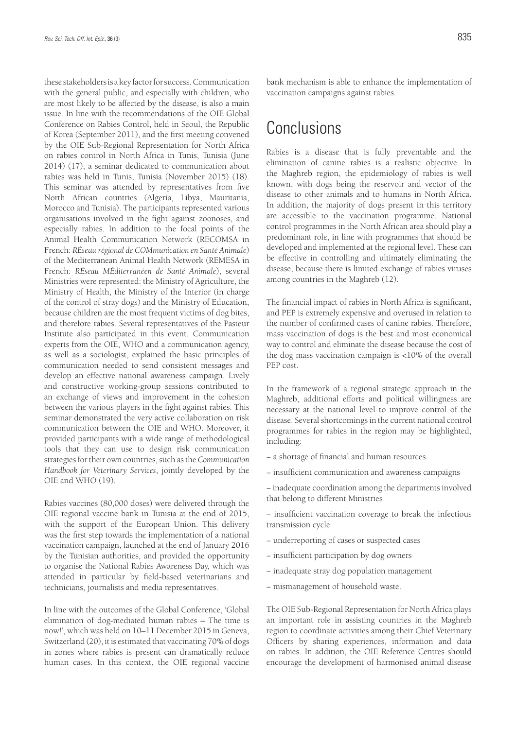these stakeholders is a key factor for success. Communication with the general public, and especially with children, who are most likely to be affected by the disease, is also a main issue. In line with the recommendations of the OIE Global Conference on Rabies Control, held in Seoul, the Republic of Korea (September 2011), and the first meeting convened by the OIE Sub-Regional Representation for North Africa on rabies control in North Africa in Tunis, Tunisia (June 2014) (17), a seminar dedicated to communication about rabies was held in Tunis, Tunisia (November 2015) (18). This seminar was attended by representatives from five North African countries (Algeria, Libya, Mauritania, Morocco and Tunisia). The participants represented various organisations involved in the fight against zoonoses, and especially rabies. In addition to the focal points of the Animal Health Communication Network (RECOMSA in French: *RÉseau régional de COMmunication en Santé Animale*) of the Mediterranean Animal Health Network (REMESA in French: *RÉseau MÉditerranéen de Santé Animale*), several Ministries were represented: the Ministry of Agriculture, the Ministry of Health, the Ministry of the Interior (in charge of the control of stray dogs) and the Ministry of Education, because children are the most frequent victims of dog bites, and therefore rabies. Several representatives of the Pasteur Institute also participated in this event. Communication experts from the OIE, WHO and a communication agency, as well as a sociologist, explained the basic principles of communication needed to send consistent messages and develop an effective national awareness campaign. Lively and constructive working-group sessions contributed to an exchange of views and improvement in the cohesion between the various players in the fight against rabies. This seminar demonstrated the very active collaboration on risk communication between the OIE and WHO. Moreover, it provided participants with a wide range of methodological tools that they can use to design risk communication strategies for their own countries, such as the *Communication Handbook for Veterinary Services*, jointly developed by the OIE and WHO (19).

Rabies vaccines (80,000 doses) were delivered through the OIE regional vaccine bank in Tunisia at the end of 2015, with the support of the European Union. This delivery was the first step towards the implementation of a national vaccination campaign, launched at the end of January 2016 by the Tunisian authorities, and provided the opportunity to organise the National Rabies Awareness Day, which was attended in particular by field-based veterinarians and technicians, journalists and media representatives.

In line with the outcomes of the Global Conference, 'Global elimination of dog-mediated human rabies – The time is now!', which was held on 10–11 December 2015 in Geneva, Switzerland (20), it is estimated that vaccinating 70% of dogs in zones where rabies is present can dramatically reduce human cases. In this context, the OIE regional vaccine bank mechanism is able to enhance the implementation of vaccination campaigns against rabies.

### Conclusions

Rabies is a disease that is fully preventable and the elimination of canine rabies is a realistic objective. In the Maghreb region, the epidemiology of rabies is well known, with dogs being the reservoir and vector of the disease to other animals and to humans in North Africa. In addition, the majority of dogs present in this territory are accessible to the vaccination programme. National control programmes in the North African area should play a predominant role, in line with programmes that should be developed and implemented at the regional level. These can be effective in controlling and ultimately eliminating the disease, because there is limited exchange of rabies viruses among countries in the Maghreb (12).

The financial impact of rabies in North Africa is significant, and PEP is extremely expensive and overused in relation to the number of confirmed cases of canine rabies. Therefore, mass vaccination of dogs is the best and most economical way to control and eliminate the disease because the cost of the dog mass vaccination campaign is <10% of the overall PEP cost.

In the framework of a regional strategic approach in the Maghreb, additional efforts and political willingness are necessary at the national level to improve control of the disease. Several shortcomings in the current national control programmes for rabies in the region may be highlighted, including:

- − a shortage of financial and human resources
- − insufficient communication and awareness campaigns
- − inadequate coordination among the departments involved that belong to different Ministries
- − insufficient vaccination coverage to break the infectious transmission cycle
- − underreporting of cases or suspected cases
- − insufficient participation by dog owners
- − inadequate stray dog population management
- − mismanagement of household waste.

The OIE Sub-Regional Representation for North Africa plays an important role in assisting countries in the Maghreb region to coordinate activities among their Chief Veterinary Officers by sharing experiences, information and data on rabies. In addition, the OIE Reference Centres should encourage the development of harmonised animal disease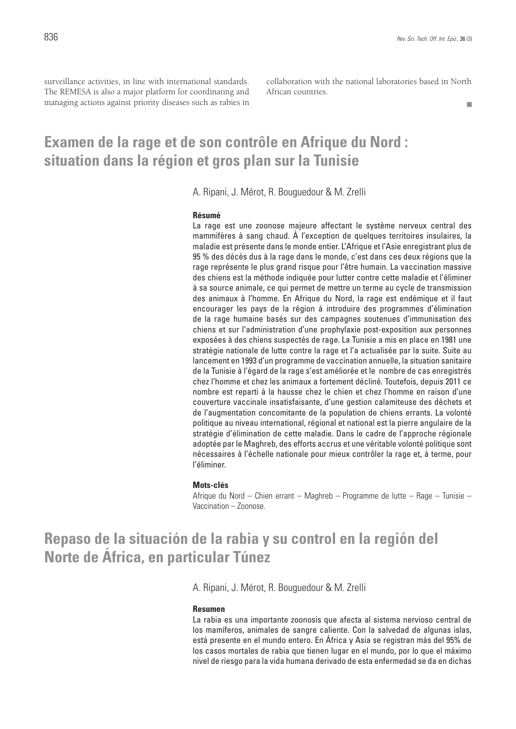surveillance activities, in line with international standards. The REMESA is also a major platform for coordinating and managing actions against priority diseases such as rabies in collaboration with the national laboratories based in North African countries.

 $\Box$ 

### **Examen de la rage et de son contrôle en Afrique du Nord : situation dans la région et gros plan sur la Tunisie**

A. Ripani, J. Mérot, R. Bouguedour & M. Zrelli

#### **Résumé**

La rage est une zoonose majeure affectant le système nerveux central des mammifères à sang chaud. À l'exception de quelques territoires insulaires, la maladie est présente dans le monde entier. L'Afrique et l'Asie enregistrant plus de 95 % des décès dus à la rage dans le monde, c'est dans ces deux régions que la rage représente le plus grand risque pour l'être humain. La vaccination massive des chiens est la méthode indiquée pour lutter contre cette maladie et l'éliminer à sa source animale, ce qui permet de mettre un terme au cycle de transmission des animaux à l'homme. En Afrique du Nord, la rage est endémique et il faut encourager les pays de la région à introduire des programmes d'élimination de la rage humaine basés sur des campagnes soutenues d'immunisation des chiens et sur l'administration d'une prophylaxie post-exposition aux personnes exposées à des chiens suspectés de rage. La Tunisie a mis en place en 1981 une stratégie nationale de lutte contre la rage et l'a actualisée par la suite. Suite au lancement en 1993 d'un programme de vaccination annuelle, la situation sanitaire de la Tunisie à l'égard de la rage s'est améliorée et le nombre de cas enregistrés chez l'homme et chez les animaux a fortement décliné. Toutefois, depuis 2011 ce nombre est reparti à la hausse chez le chien et chez l'homme en raison d'une couverture vaccinale insatisfaisante, d'une gestion calamiteuse des déchets et de l'augmentation concomitante de la population de chiens errants. La volonté politique au niveau international, régional et national est la pierre angulaire de la stratégie d'élimination de cette maladie. Dans le cadre de l'approche régionale adoptée par le Maghreb, des efforts accrus et une véritable volonté politique sont nécessaires à l'échelle nationale pour mieux contrôler la rage et, à terme, pour l'éliminer.

#### **Mots-clés**

Afrique du Nord – Chien errant – Maghreb – Programme de lutte – Rage – Tunisie – Vaccination – Zoonose.

**Repaso de la situación de la rabia y su control en la región del Norte de África, en particular Túnez**

A. Ripani, J. Mérot, R. Bouguedour & M. Zrelli

#### **Resumen**

La rabia es una importante zoonosis que afecta al sistema nervioso central de los mamíferos, animales de sangre caliente. Con la salvedad de algunas islas, está presente en el mundo entero. En África y Asia se registran más del 95% de los casos mortales de rabia que tienen lugar en el mundo, por lo que el máximo nivel de riesgo para la vida humana derivado de esta enfermedad se da en dichas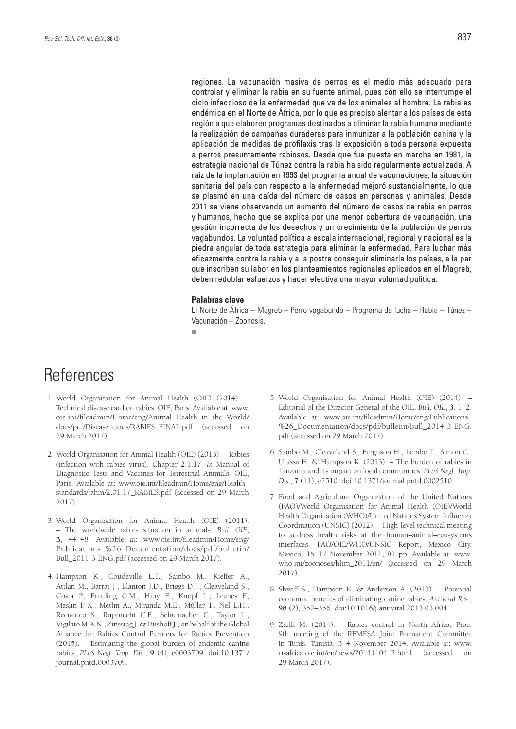regiones. La vacunación masiva de perros es el medio más adecuado para controlar y eliminar la rabia en su fuente animal, pues con ello se interrumpe el ciclo infeccioso de la enfermedad que va de los animales al hombre. La rabia es endémica en el Norte de África, por lo que es preciso alentar a los países de esta región a que elaboren programas destinados a eliminar la rabia humana mediante la realización de campañas duraderas para inmunizar a la población canina y la aplicación de medidas de profilaxis tras la exposición a toda persona expuesta a perros presuntamente rabiosos. Desde que fue puesta en marcha en 1981, la estrategia nacional de Túnez contra la rabia ha sido regularmente actualizada. A raíz de la implantación en 1993 del programa anual de vacunaciones, la situación sanitaria del país con respecto a la enfermedad mejoró sustancialmente, lo que se plasmó en una caída del número de casos en personas y animales. Desde 2011 se viene observando un aumento del número de casos de rabia en perros y humanos, hecho que se explica por una menor cobertura de vacunación, una gestión incorrecta de los desechos y un crecimiento de la población de perros vagabundos. La voluntad política a escala internacional, regional y nacional es la piedra angular de toda estrategia para eliminar la enfermedad. Para luchar más eficazmente contra la rabia y a la postre conseguir eliminarla los países, a la par que inscriben su labor en los planteamientos regionales aplicados en el Magreb, deben redoblar esfuerzos y hacer efectiva una mayor voluntad política.

#### **Palabras clave**

El Norte de África – Magreb – Perro vagabundo – Programa de lucha – Rabia – Túnez – Vacunación – Zoonosis.

 $\overline{\phantom{a}}$ 

## References

- 1. World Organisation for Animal Health (OIE) (2014). Technical disease card on rabies. OIE, Paris. Available at: www. oie.int/fileadmin/Home/eng/Animal\_Health\_in\_the\_World/ docs/pdf/Disease\_cards/RABIES\_FINAL.pdf (accessed on 29 March 2017).
- 2. World Organisation for Animal Health (OIE) (2013). Rabies (infection with rabies virus), Chapter 2.1.17. *In* Manual of Diagnostic Tests and Vaccines for Terrestrial Animals. OIE, Paris. Available at: www.oie.int/fileadmin/Home/eng/Health\_ standards/tahm/2.01.17\_RABIES.pdf (accessed on 29 March 2017).
- 3. World Organisation for Animal Health (OIE) (2011). – The worldwide rabies situation in animals. *Bull. OIE*, **3**, 44–48. Available at: www.oie.int/fileadmin/Home/eng/ Publications\_%26\_Documentation/docs/pdf/bulletin/ Bull\_2011-3-ENG.pdf (accessed on 29 March 2017).
- 4. Hampson K., Coudeville L.T., Sambo M., Kieffer A., Attlan M., Barrat J., Blanton J.D., Briggs D.J., Cleaveland S., Costa P., Freuling C.M., Hiby E., Knopf L., Leanes F., Meslin F.-X., Metlin A., Miranda M.E., Müller T., Nel L.H., Recuenco S., Rupprecht C.E., Schumacher C., Taylor L., Vigilato M.A.N., Zinsstag J. & Dushoff J., on behalf of the Global Alliance for Rabies Control Partners for Rabies Prevention (2015). – Estimating the global burden of endemic canine rabies. *PLoS Negl. Trop. Dis*., **9** (4), e0003709. doi:10.1371/ journal.pntd.0003709.
- 5. World Organisation for Animal Health (OIE) (2014). Editorial of the Director General of the OIE. *Bull. OIE*, **3**, 1–2. Available at: www.oie.int/fileadmin/Home/eng/Publications\_ %26\_Documentation/docs/pdf/bulletin/Bull\_2014-3-ENG. pdf (accessed on 29 March 2017).
- 6. Sambo M., Cleaveland S., Ferguson H., Lembo T., Simon C., Urassa H. & Hampson K. (2013). – The burden of rabies in Tanzania and its impact on local communities. *PLoS Negl. Trop. Dis*., **7** (11), e2510. doi:10.1371/journal.pntd.0002510.
- 7. Food and Agriculture Organization of the United Nations (FAO)/World Organisation for Animal Health (OIE)/World Health Organization (WHO)/United Nations System Influenza Coordination (UNSIC) (2012). – High-level technical meeting to address health risks at the human–animal–ecosystems interfaces. FAO/OIE/WHO/UNSIC Report, Mexico City, Mexico, 15–17 November 2011, 81 pp. Available at: www. who.int/zoonoses/hltm\_2011/en/ (accessed on 29 March 2017).
- 8. Shwiff S., Hampson K. & Anderson A. (2013). Potential economic benefits of eliminating canine rabies. *Antiviral Res*., **98** (2), 352–356. doi:10.1016/j.antiviral.2013.03.004.
- 9. Zrelli M. (2014). Rabies control in North Africa. Proc. 9th meeting of the REMESA Joint Permanent Committee in Tunis, Tunisia, 3–4 November 2014. Available at: www. rr-africa.oie.int/en/news/20141104\_2.html (accessed on 29 March 2017).